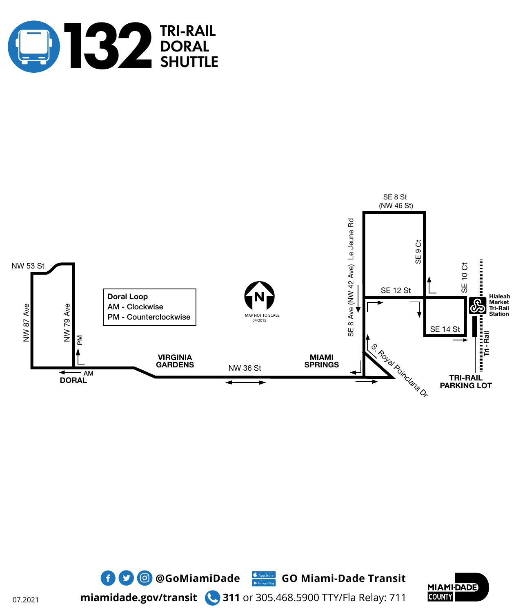







**miamidade.gov/transit 311** or 305.468.5900 TTY/Fla Relay: 711